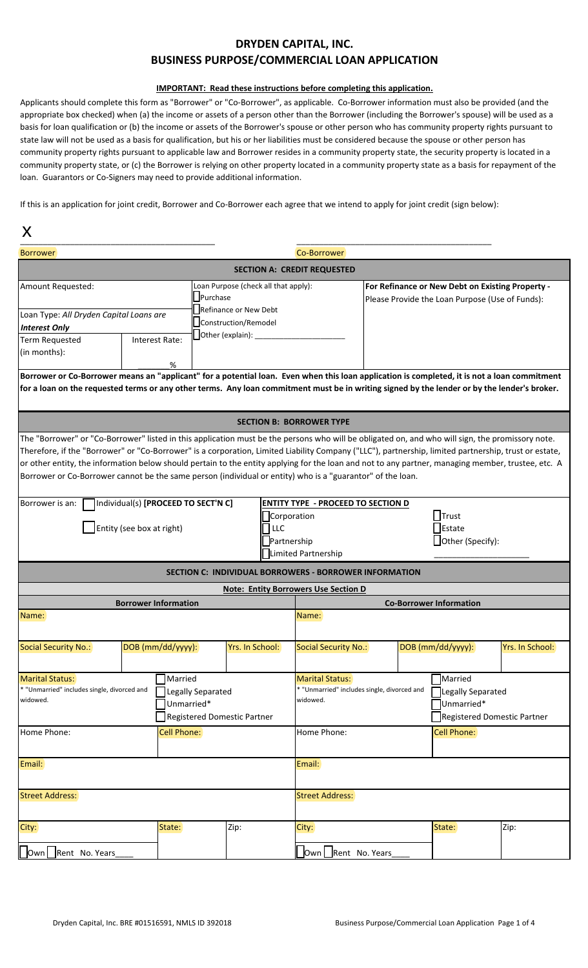## **DRYDEN CAPITAL, INC. BUSINESS PURPOSE/COMMERCIAL LOAN APPLICATION**

## **IMPORTANT:** Read these instructions before completing this application.

Applicants should complete this form as "Borrower" or "Co-Borrower", as applicable. Co-Borrower information must also be provided (and the appropriate box checked) when (a) the income or assets of a person other than the Borrower (including the Borrower's spouse) will be used as a basis for loan qualification or (b) the income or assets of the Borrower's spouse or other person who has community property rights pursuant to state law will not be used as a basis for qualification, but his or her liabilities must be considered because the spouse or other person has community property rights pursuant to applicable law and Borrower resides in a community property state, the security property is located in a community property state, or (c) the Borrower is relying on other property located in a community property state as a basis for repayment of the loan. Guarantors or Co-Signers may need to provide additional information.

If this is an application for joint credit, Borrower and Co-Borrower each agree that we intend to apply for joint credit (sign below):

x

| $\boldsymbol{\Lambda}$                                                                                                                                                                                                                                                                                                                                                                                                                                                                                                                                                        |                                                                                           |                                     |                      |                                    |                                                                                                     |                                                               |                                             |                   |                                                                                         |                 |  |
|-------------------------------------------------------------------------------------------------------------------------------------------------------------------------------------------------------------------------------------------------------------------------------------------------------------------------------------------------------------------------------------------------------------------------------------------------------------------------------------------------------------------------------------------------------------------------------|-------------------------------------------------------------------------------------------|-------------------------------------|----------------------|------------------------------------|-----------------------------------------------------------------------------------------------------|---------------------------------------------------------------|---------------------------------------------|-------------------|-----------------------------------------------------------------------------------------|-----------------|--|
| <b>Borrower</b>                                                                                                                                                                                                                                                                                                                                                                                                                                                                                                                                                               |                                                                                           |                                     |                      |                                    |                                                                                                     | Co-Borrower                                                   |                                             |                   |                                                                                         |                 |  |
|                                                                                                                                                                                                                                                                                                                                                                                                                                                                                                                                                                               |                                                                                           |                                     |                      |                                    |                                                                                                     | <b>SECTION A: CREDIT REQUESTED</b>                            |                                             |                   |                                                                                         |                 |  |
| Amount Requested:                                                                                                                                                                                                                                                                                                                                                                                                                                                                                                                                                             | Loan Purpose (check all that apply):<br>Purchase<br>Refinance or New Debt                 |                                     |                      |                                    | For Refinance or New Debt on Existing Property -<br>Please Provide the Loan Purpose (Use of Funds): |                                                               |                                             |                   |                                                                                         |                 |  |
| Loan Type: All Dryden Capital Loans are                                                                                                                                                                                                                                                                                                                                                                                                                                                                                                                                       |                                                                                           |                                     | Construction/Remodel |                                    |                                                                                                     |                                                               |                                             |                   |                                                                                         |                 |  |
| <b>Interest Only</b><br><b>Term Requested</b>                                                                                                                                                                                                                                                                                                                                                                                                                                                                                                                                 |                                                                                           | Interest Rate:                      | Other (explain):     |                                    |                                                                                                     |                                                               |                                             |                   |                                                                                         |                 |  |
| (in months):                                                                                                                                                                                                                                                                                                                                                                                                                                                                                                                                                                  |                                                                                           |                                     |                      |                                    |                                                                                                     |                                                               |                                             |                   |                                                                                         |                 |  |
|                                                                                                                                                                                                                                                                                                                                                                                                                                                                                                                                                                               |                                                                                           | ℅                                   |                      |                                    |                                                                                                     |                                                               |                                             |                   |                                                                                         |                 |  |
| Borrower or Co-Borrower means an "applicant" for a potential loan. Even when this loan application is completed, it is not a loan commitment<br>for a loan on the requested terms or any other terms. Any loan commitment must be in writing signed by the lender or by the lender's broker.                                                                                                                                                                                                                                                                                  |                                                                                           |                                     |                      |                                    |                                                                                                     |                                                               |                                             |                   |                                                                                         |                 |  |
|                                                                                                                                                                                                                                                                                                                                                                                                                                                                                                                                                                               |                                                                                           |                                     |                      |                                    |                                                                                                     | <b>SECTION B: BORROWER TYPE</b>                               |                                             |                   |                                                                                         |                 |  |
| The "Borrower" or "Co-Borrower" listed in this application must be the persons who will be obligated on, and who will sign, the promissory note.<br>Therefore, if the "Borrower" or "Co-Borrower" is a corporation, Limited Liability Company ("LLC"), partnership, limited partnership, trust or estate,<br>or other entity, the information below should pertain to the entity applying for the loan and not to any partner, managing member, trustee, etc. A<br>Borrower or Co-Borrower cannot be the same person (individual or entity) who is a "guarantor" of the loan. |                                                                                           |                                     |                      |                                    |                                                                                                     |                                                               |                                             |                   |                                                                                         |                 |  |
| Borrower is an:                                                                                                                                                                                                                                                                                                                                                                                                                                                                                                                                                               |                                                                                           | Individual(s) [PROCEED TO SECT'N C] |                      |                                    |                                                                                                     | <b>ENTITY TYPE - PROCEED TO SECTION D</b>                     |                                             |                   |                                                                                         |                 |  |
|                                                                                                                                                                                                                                                                                                                                                                                                                                                                                                                                                                               |                                                                                           |                                     |                      |                                    | Corporation                                                                                         |                                                               |                                             | $\Box$ Trust      |                                                                                         |                 |  |
|                                                                                                                                                                                                                                                                                                                                                                                                                                                                                                                                                                               | Entity (see box at right)                                                                 |                                     |                      |                                    | LLC                                                                                                 | Estate                                                        |                                             |                   |                                                                                         |                 |  |
|                                                                                                                                                                                                                                                                                                                                                                                                                                                                                                                                                                               |                                                                                           |                                     |                      |                                    | Partnership                                                                                         |                                                               |                                             | Other (Specify):  |                                                                                         |                 |  |
|                                                                                                                                                                                                                                                                                                                                                                                                                                                                                                                                                                               |                                                                                           |                                     |                      |                                    |                                                                                                     | Limited Partnership                                           |                                             |                   |                                                                                         |                 |  |
|                                                                                                                                                                                                                                                                                                                                                                                                                                                                                                                                                                               |                                                                                           |                                     |                      |                                    |                                                                                                     | <b>SECTION C: INDIVIDUAL BORROWERS - BORROWER INFORMATION</b> |                                             |                   |                                                                                         |                 |  |
|                                                                                                                                                                                                                                                                                                                                                                                                                                                                                                                                                                               |                                                                                           |                                     |                      |                                    |                                                                                                     | <b>Note: Entity Borrowers Use Section D</b>                   |                                             |                   |                                                                                         |                 |  |
|                                                                                                                                                                                                                                                                                                                                                                                                                                                                                                                                                                               |                                                                                           | <b>Borrower Information</b>         |                      |                                    |                                                                                                     | <b>Co-Borrower Information</b>                                |                                             |                   |                                                                                         |                 |  |
| Name:                                                                                                                                                                                                                                                                                                                                                                                                                                                                                                                                                                         |                                                                                           |                                     |                      |                                    |                                                                                                     | Name:                                                         |                                             |                   |                                                                                         |                 |  |
| <b>Social Security No.:</b>                                                                                                                                                                                                                                                                                                                                                                                                                                                                                                                                                   |                                                                                           | DOB (mm/dd/yyyy):                   |                      | Yrs. In School:                    |                                                                                                     | Social Security No.:                                          |                                             | DOB (mm/dd/yyyy): |                                                                                         | Yrs. In School: |  |
| Marital Status:<br>widowed.                                                                                                                                                                                                                                                                                                                                                                                                                                                                                                                                                   | Married<br>* "Unmarried" includes single, divorced and<br>Legally Separated<br>Unmarried* |                                     |                      | <b>Registered Domestic Partner</b> |                                                                                                     | <b>Marital Status:</b><br>widowed.                            | * "Unmarried" includes single, divorced and |                   | <b>Married</b><br>Legally Separated<br>Unmarried*<br><b>Registered Domestic Partner</b> |                 |  |
| Home Phone:                                                                                                                                                                                                                                                                                                                                                                                                                                                                                                                                                                   | Cell Phone:                                                                               |                                     |                      |                                    | Home Phone:                                                                                         |                                                               | Cell Phone:                                 |                   |                                                                                         |                 |  |
| Email:                                                                                                                                                                                                                                                                                                                                                                                                                                                                                                                                                                        |                                                                                           |                                     |                      |                                    |                                                                                                     | Email:                                                        |                                             |                   |                                                                                         |                 |  |
| <b>Street Address:</b>                                                                                                                                                                                                                                                                                                                                                                                                                                                                                                                                                        |                                                                                           |                                     |                      |                                    |                                                                                                     | <b>Street Address:</b>                                        |                                             |                   |                                                                                         |                 |  |
| City:                                                                                                                                                                                                                                                                                                                                                                                                                                                                                                                                                                         |                                                                                           | State:                              |                      | Zip:                               |                                                                                                     | City:                                                         |                                             | State:            |                                                                                         | Zip:            |  |
| Own Rent No. Years                                                                                                                                                                                                                                                                                                                                                                                                                                                                                                                                                            |                                                                                           |                                     |                      |                                    |                                                                                                     | Own Rent No. Years                                            |                                             |                   |                                                                                         |                 |  |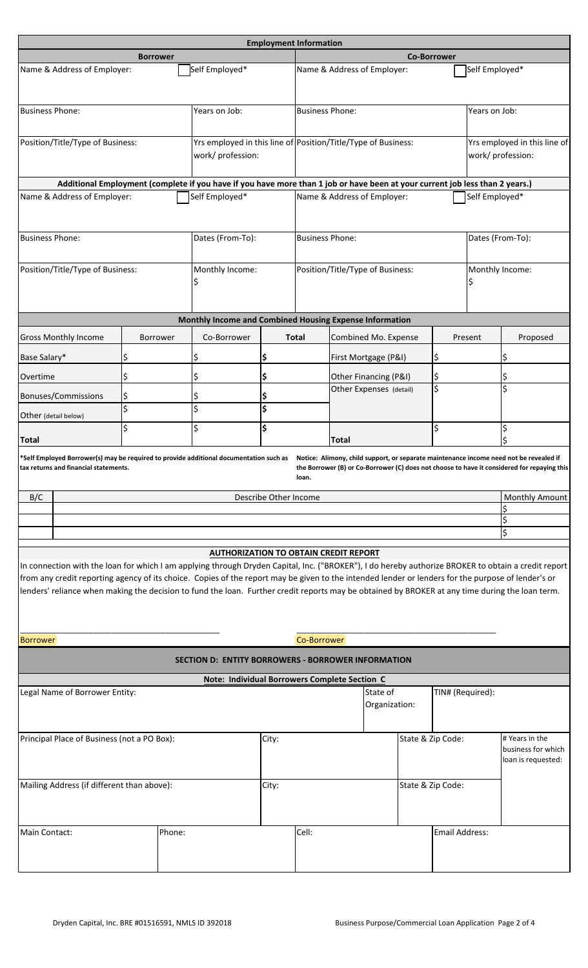|                                             |                                                                                                                                                                                                                                                                                                       |                  |        |                                                           | <b>Employment Information</b>                                 |                                  |                             |                                                   |                                                            |                    |                |                                                                                                                                                     |
|---------------------------------------------|-------------------------------------------------------------------------------------------------------------------------------------------------------------------------------------------------------------------------------------------------------------------------------------------------------|------------------|--------|-----------------------------------------------------------|---------------------------------------------------------------|----------------------------------|-----------------------------|---------------------------------------------------|------------------------------------------------------------|--------------------|----------------|-----------------------------------------------------------------------------------------------------------------------------------------------------|
|                                             |                                                                                                                                                                                                                                                                                                       | <b>Borrower</b>  |        |                                                           |                                                               |                                  |                             |                                                   |                                                            | <b>Co-Borrower</b> |                |                                                                                                                                                     |
|                                             | Name & Address of Employer:                                                                                                                                                                                                                                                                           |                  |        | Self Employed*                                            |                                                               |                                  | Name & Address of Employer: |                                                   |                                                            |                    | Self Employed* |                                                                                                                                                     |
| <b>Business Phone:</b>                      |                                                                                                                                                                                                                                                                                                       |                  |        | Years on Job:                                             | <b>Business Phone:</b>                                        |                                  |                             |                                                   | Years on Job:                                              |                    |                |                                                                                                                                                     |
| Position/Title/Type of Business:            |                                                                                                                                                                                                                                                                                                       |                  |        | work/ profession:                                         | Yrs employed in this line of Position/Title/Type of Business: |                                  |                             | Yrs employed in this line of<br>work/ profession: |                                                            |                    |                |                                                                                                                                                     |
|                                             | Additional Employment (complete if you have if you have more than 1 job or have been at your current job less than 2 years.)                                                                                                                                                                          |                  |        |                                                           |                                                               |                                  |                             |                                                   |                                                            |                    |                |                                                                                                                                                     |
|                                             | Name & Address of Employer:                                                                                                                                                                                                                                                                           |                  |        | Self Employed*                                            |                                                               |                                  | Name & Address of Employer: |                                                   |                                                            |                    | Self Employed* |                                                                                                                                                     |
| <b>Business Phone:</b>                      |                                                                                                                                                                                                                                                                                                       |                  |        | Dates (From-To):                                          | <b>Business Phone:</b>                                        |                                  |                             | Dates (From-To):                                  |                                                            |                    |                |                                                                                                                                                     |
| Position/Title/Type of Business:            |                                                                                                                                                                                                                                                                                                       |                  |        | Monthly Income:                                           |                                                               | Position/Title/Type of Business: |                             |                                                   |                                                            | Monthly Income:    |                |                                                                                                                                                     |
|                                             |                                                                                                                                                                                                                                                                                                       |                  |        | Monthly Income and Combined Housing Expense Information   |                                                               |                                  |                             |                                                   |                                                            |                    |                |                                                                                                                                                     |
|                                             |                                                                                                                                                                                                                                                                                                       |                  |        | Co-Borrower                                               |                                                               |                                  |                             |                                                   |                                                            |                    |                |                                                                                                                                                     |
|                                             | <b>Gross Monthly Income</b>                                                                                                                                                                                                                                                                           | Borrower         |        |                                                           |                                                               | Total                            |                             | Combined Mo. Expense                              |                                                            |                    | Present        | Proposed                                                                                                                                            |
| Base Salary*                                |                                                                                                                                                                                                                                                                                                       | \$               | \$     |                                                           | \$                                                            |                                  |                             | First Mortgage (P&I)                              |                                                            | \$                 |                | \$                                                                                                                                                  |
| Overtime                                    |                                                                                                                                                                                                                                                                                                       | \$               | \$     |                                                           | \$                                                            |                                  | \$<br>Other Financing (P&I) |                                                   | \$                                                         |                    | \$             |                                                                                                                                                     |
|                                             | Bonuses/Commissions                                                                                                                                                                                                                                                                                   | \$               |        |                                                           |                                                               |                                  |                             | Other Expenses (detail)                           |                                                            |                    |                |                                                                                                                                                     |
| Other (detail below)                        |                                                                                                                                                                                                                                                                                                       | $\overline{\xi}$ | \$     |                                                           | \$                                                            |                                  |                             |                                                   |                                                            |                    |                |                                                                                                                                                     |
| <b>Total</b>                                |                                                                                                                                                                                                                                                                                                       | \$               | \$     |                                                           | \$                                                            |                                  | <b>Total</b>                | \$                                                |                                                            |                    |                | \$                                                                                                                                                  |
|                                             | *Self Employed Borrower(s) may be required to provide additional documentation such as Notice: Alimony, child support, or separate maintenance income need not be revealed if<br>ax returns and financial statements.                                                                                 |                  |        |                                                           |                                                               | loan.                            |                             |                                                   |                                                            |                    |                | the Borrower (B) or Co-Borrower (C) does not choose to have it considered for repaying this                                                         |
| B/C                                         |                                                                                                                                                                                                                                                                                                       |                  |        |                                                           | Describe Other Income                                         |                                  |                             |                                                   |                                                            |                    |                | Monthly Amount                                                                                                                                      |
|                                             |                                                                                                                                                                                                                                                                                                       |                  |        |                                                           |                                                               |                                  | \$                          |                                                   |                                                            |                    |                |                                                                                                                                                     |
|                                             |                                                                                                                                                                                                                                                                                                       |                  |        |                                                           |                                                               |                                  |                             |                                                   |                                                            |                    |                | \$                                                                                                                                                  |
|                                             |                                                                                                                                                                                                                                                                                                       |                  |        | <b>AUTHORIZATION TO OBTAIN CREDIT REPORT</b>              |                                                               |                                  |                             |                                                   |                                                            |                    |                |                                                                                                                                                     |
| Borrower                                    | from any credit reporting agency of its choice. Copies of the report may be given to the intended lender or lenders for the purpose of lender's or<br>lenders' reliance when making the decision to fund the loan. Further credit reports may be obtained by BROKER at any time during the loan term. |                  |        |                                                           |                                                               | Co-Borrower                      |                             |                                                   |                                                            |                    |                | In connection with the loan for which I am applying through Dryden Capital, Inc. ("BROKER"), I do hereby authorize BROKER to obtain a credit report |
|                                             |                                                                                                                                                                                                                                                                                                       |                  |        | <b>SECTION D: ENTITY BORROWERS - BORROWER INFORMATION</b> |                                                               |                                  |                             |                                                   |                                                            |                    |                |                                                                                                                                                     |
|                                             |                                                                                                                                                                                                                                                                                                       |                  |        |                                                           |                                                               |                                  |                             |                                                   |                                                            |                    |                |                                                                                                                                                     |
|                                             | Legal Name of Borrower Entity:                                                                                                                                                                                                                                                                        |                  |        | Note: Individual Borrowers Complete Section C             |                                                               |                                  |                             | State of                                          |                                                            | TIN# (Required):   |                |                                                                                                                                                     |
|                                             |                                                                                                                                                                                                                                                                                                       |                  |        |                                                           |                                                               |                                  | Organization:               |                                                   |                                                            |                    |                |                                                                                                                                                     |
| Principal Place of Business (not a PO Box): |                                                                                                                                                                                                                                                                                                       |                  |        | City:                                                     |                                                               |                                  | State & Zip Code:           |                                                   | # Years in the<br>business for which<br>loan is requested: |                    |                |                                                                                                                                                     |
|                                             | Mailing Address (if different than above):                                                                                                                                                                                                                                                            |                  |        |                                                           | City:                                                         |                                  |                             |                                                   |                                                            | State & Zip Code:  |                |                                                                                                                                                     |
| Main Contact:                               |                                                                                                                                                                                                                                                                                                       |                  | Phone: |                                                           |                                                               | Cell:                            |                             |                                                   |                                                            | Email Address:     |                |                                                                                                                                                     |
|                                             |                                                                                                                                                                                                                                                                                                       |                  |        |                                                           |                                                               |                                  |                             |                                                   |                                                            |                    |                |                                                                                                                                                     |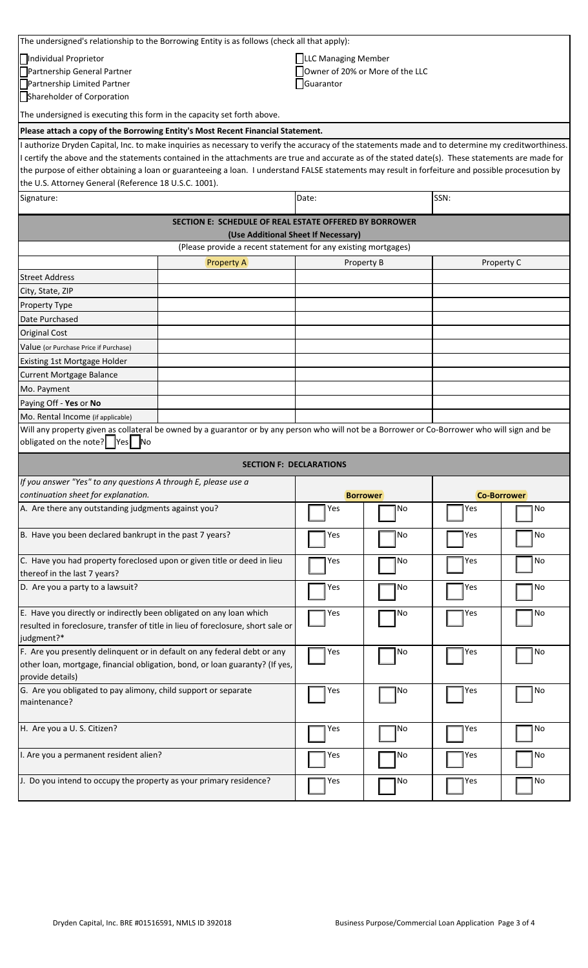|                                                                                                                                                   | The undersigned's relationship to the Borrowing Entity is as follows (check all that apply):                                                        |                      |                 |                    |    |  |  |  |  |
|---------------------------------------------------------------------------------------------------------------------------------------------------|-----------------------------------------------------------------------------------------------------------------------------------------------------|----------------------|-----------------|--------------------|----|--|--|--|--|
| Individual Proprietor                                                                                                                             |                                                                                                                                                     | LLLC Managing Member |                 |                    |    |  |  |  |  |
| Partnership General Partner                                                                                                                       | Owner of 20% or More of the LLC                                                                                                                     |                      |                 |                    |    |  |  |  |  |
| Partnership Limited Partner                                                                                                                       |                                                                                                                                                     |                      |                 |                    |    |  |  |  |  |
| Shareholder of Corporation                                                                                                                        |                                                                                                                                                     |                      |                 |                    |    |  |  |  |  |
| The undersigned is executing this form in the capacity set forth above.                                                                           |                                                                                                                                                     |                      |                 |                    |    |  |  |  |  |
|                                                                                                                                                   | Please attach a copy of the Borrowing Entity's Most Recent Financial Statement.                                                                     |                      |                 |                    |    |  |  |  |  |
|                                                                                                                                                   | I authorize Dryden Capital, Inc. to make inquiries as necessary to verify the accuracy of the statements made and to determine my creditworthiness. |                      |                 |                    |    |  |  |  |  |
|                                                                                                                                                   | I certify the above and the statements contained in the attachments are true and accurate as of the stated date(s). These statements are made for   |                      |                 |                    |    |  |  |  |  |
| the purpose of either obtaining a loan or guaranteeing a loan. I understand FALSE statements may result in forfeiture and possible procesution by |                                                                                                                                                     |                      |                 |                    |    |  |  |  |  |
| the U.S. Attorney General (Reference 18 U.S.C. 1001).                                                                                             |                                                                                                                                                     |                      |                 |                    |    |  |  |  |  |
| SSN:<br>Signature:<br>Date:                                                                                                                       |                                                                                                                                                     |                      |                 |                    |    |  |  |  |  |
| <b>SECTION E: SCHEDULE OF REAL ESTATE OFFERED BY BORROWER</b>                                                                                     |                                                                                                                                                     |                      |                 |                    |    |  |  |  |  |
|                                                                                                                                                   | (Use Additional Sheet If Necessary)<br>(Please provide a recent statement for any existing mortgages)                                               |                      |                 |                    |    |  |  |  |  |
|                                                                                                                                                   | <b>Property A</b>                                                                                                                                   | Property B           |                 | Property C         |    |  |  |  |  |
| <b>Street Address</b>                                                                                                                             |                                                                                                                                                     |                      |                 |                    |    |  |  |  |  |
| City, State, ZIP                                                                                                                                  |                                                                                                                                                     |                      |                 |                    |    |  |  |  |  |
| Property Type                                                                                                                                     |                                                                                                                                                     |                      |                 |                    |    |  |  |  |  |
| Date Purchased                                                                                                                                    |                                                                                                                                                     |                      |                 |                    |    |  |  |  |  |
| <b>Original Cost</b>                                                                                                                              |                                                                                                                                                     |                      |                 |                    |    |  |  |  |  |
| Value (or Purchase Price if Purchase)                                                                                                             |                                                                                                                                                     |                      |                 |                    |    |  |  |  |  |
| Existing 1st Mortgage Holder                                                                                                                      |                                                                                                                                                     |                      |                 |                    |    |  |  |  |  |
| <b>Current Mortgage Balance</b>                                                                                                                   |                                                                                                                                                     |                      |                 |                    |    |  |  |  |  |
| Mo. Payment                                                                                                                                       |                                                                                                                                                     |                      |                 |                    |    |  |  |  |  |
| Paying Off - Yes or No                                                                                                                            |                                                                                                                                                     |                      |                 |                    |    |  |  |  |  |
| Mo. Rental Income (if applicable)                                                                                                                 |                                                                                                                                                     |                      |                 |                    |    |  |  |  |  |
| obligated on the note?   Yes   No                                                                                                                 | Will any property given as collateral be owned by a guarantor or by any person who will not be a Borrower or Co-Borrower who will sign and be       |                      |                 |                    |    |  |  |  |  |
|                                                                                                                                                   | <b>SECTION F: DECLARATIONS</b>                                                                                                                      |                      |                 |                    |    |  |  |  |  |
| If you answer "Yes" to any questions A through E, please use a                                                                                    |                                                                                                                                                     |                      |                 |                    |    |  |  |  |  |
| continuation sheet for explanation.                                                                                                               |                                                                                                                                                     |                      | <b>Borrower</b> | <b>Co-Borrower</b> |    |  |  |  |  |
| A. Are there any outstanding judgments against you?                                                                                               |                                                                                                                                                     | Yes                  | No              | Yes                | No |  |  |  |  |
| B. Have you been declared bankrupt in the past 7 years?                                                                                           |                                                                                                                                                     | Yes                  | No              | Yes                | No |  |  |  |  |
| C. Have you had property foreclosed upon or given title or deed in lieu                                                                           |                                                                                                                                                     | Yes                  | No              | Yes                | No |  |  |  |  |
| thereof in the last 7 years?                                                                                                                      |                                                                                                                                                     |                      |                 |                    |    |  |  |  |  |
| D. Are you a party to a lawsuit?                                                                                                                  | Yes                                                                                                                                                 | No                   | Yes             | No                 |    |  |  |  |  |
| E. Have you directly or indirectly been obligated on any loan which                                                                               |                                                                                                                                                     | Yes                  | No              | Yes                | No |  |  |  |  |
| resulted in foreclosure, transfer of title in lieu of foreclosure, short sale or                                                                  |                                                                                                                                                     |                      |                 |                    |    |  |  |  |  |
| judgment?*                                                                                                                                        |                                                                                                                                                     |                      |                 |                    |    |  |  |  |  |
| F. Are you presently delinquent or in default on any federal debt or any                                                                          | Yes                                                                                                                                                 | No                   | Yes             | No                 |    |  |  |  |  |
| other loan, mortgage, financial obligation, bond, or loan guaranty? (If yes,<br>provide details)                                                  |                                                                                                                                                     |                      |                 |                    |    |  |  |  |  |
| G. Are you obligated to pay alimony, child support or separate<br>maintenance?                                                                    | Yes                                                                                                                                                 | No                   | Yes             | No                 |    |  |  |  |  |
| H. Are you a U. S. Citizen?                                                                                                                       |                                                                                                                                                     | Yes                  | lNo             | Yes                | No |  |  |  |  |
| I. Are you a permanent resident alien?                                                                                                            |                                                                                                                                                     | Yes                  | No              | Yes                | No |  |  |  |  |
| J. Do you intend to occupy the property as your primary residence?                                                                                |                                                                                                                                                     | Yes                  | No              | Yes                | No |  |  |  |  |